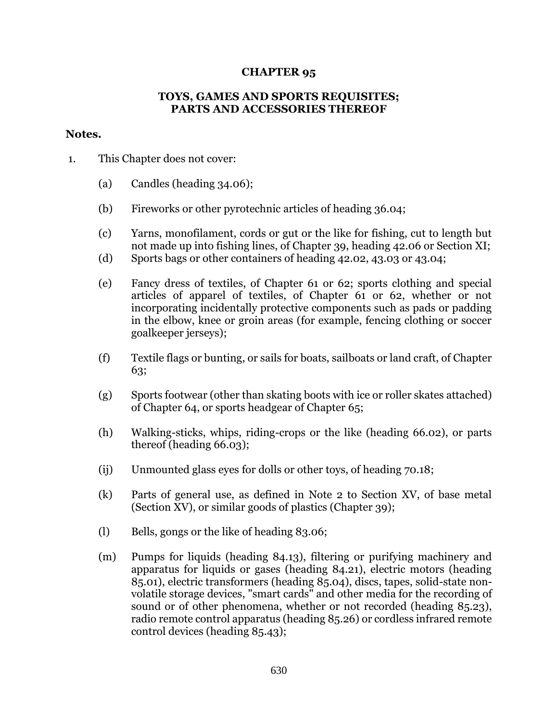## **CHAPTER 95**

## **TOYS, GAMES AND SPORTS REQUISITES; PARTS AND ACCESSORIES THEREOF**

## **Notes.**

- 1. This Chapter does not cover:
	- (a) Candles (heading 34.06);
	- (b) Fireworks or other pyrotechnic articles of heading 36.04;
	- (c) Yarns, monofilament, cords or gut or the like for fishing, cut to length but not made up into fishing lines, of Chapter 39, heading 42.06 or Section XI;
	- (d) Sports bags or other containers of heading 42.02, 43.03 or 43.04;
	- (e) Fancy dress of textiles, of Chapter 61 or 62; sports clothing and special articles of apparel of textiles, of Chapter 61 or 62, whether or not incorporating incidentally protective components such as pads or padding in the elbow, knee or groin areas (for example, fencing clothing or soccer goalkeeper jerseys);
	- (f) Textile flags or bunting, or sails for boats, sailboats or land craft, of Chapter 63;
	- (g) Sports footwear (other than skating boots with ice or roller skates attached) of Chapter 64, or sports headgear of Chapter 65;
	- (h) Walking-sticks, whips, riding-crops or the like (heading 66.02), or parts thereof (heading 66.03);
	- (ij) Unmounted glass eyes for dolls or other toys, of heading 70.18;
	- (k) Parts of general use, as defined in Note 2 to Section XV, of base metal (Section XV), or similar goods of plastics (Chapter 39);
	- (l) Bells, gongs or the like of heading 83.06;
	- (m) Pumps for liquids (heading 84.13), filtering or purifying machinery and apparatus for liquids or gases (heading 84.21), electric motors (heading 85.01), electric transformers (heading 85.04), discs, tapes, solid-state nonvolatile storage devices, "smart cards" and other media for the recording of sound or of other phenomena, whether or not recorded (heading 85.23), radio remote control apparatus (heading 85.26) or cordless infrared remote control devices (heading 85.43);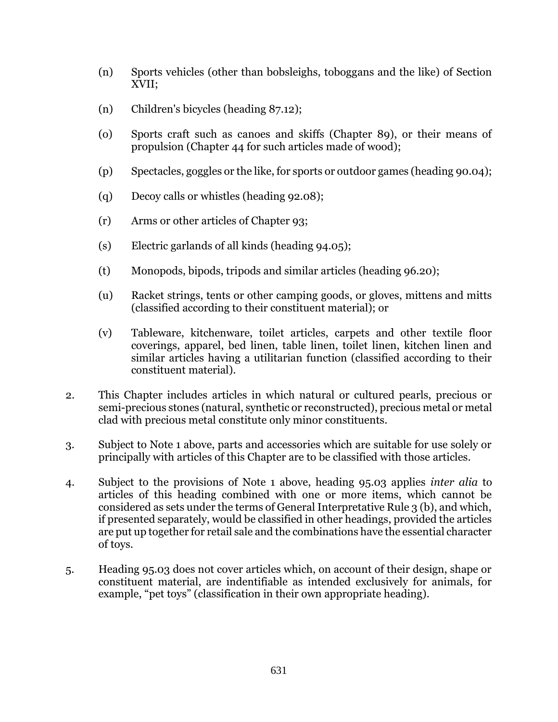- (n) Sports vehicles (other than bobsleighs, toboggans and the like) of Section XVII;
- (n) Children's bicycles (heading 87.12);
- (o) Sports craft such as canoes and skiffs (Chapter 89), or their means of propulsion (Chapter 44 for such articles made of wood);
- (p) Spectacles, goggles or the like, for sports or outdoor games (heading 90.04);
- (q) Decoy calls or whistles (heading 92.08);
- (r) Arms or other articles of Chapter 93;
- (s) Electric garlands of all kinds (heading 94.05);
- (t) Monopods, bipods, tripods and similar articles (heading 96.20);
- (u) Racket strings, tents or other camping goods, or gloves, mittens and mitts (classified according to their constituent material); or
- (v) Tableware, kitchenware, toilet articles, carpets and other textile floor coverings, apparel, bed linen, table linen, toilet linen, kitchen linen and similar articles having a utilitarian function (classified according to their constituent material).
- 2. This Chapter includes articles in which natural or cultured pearls, precious or semi-precious stones (natural, synthetic or reconstructed), precious metal or metal clad with precious metal constitute only minor constituents.
- 3. Subject to Note 1 above, parts and accessories which are suitable for use solely or principally with articles of this Chapter are to be classified with those articles.
- 4. Subject to the provisions of Note 1 above, heading 95.03 applies *inter alia* to articles of this heading combined with one or more items, which cannot be considered as sets under the terms of General Interpretative Rule 3 (b), and which, if presented separately, would be classified in other headings, provided the articles are put up together for retail sale and the combinations have the essential character of toys.
- 5. Heading 95.03 does not cover articles which, on account of their design, shape or constituent material, are indentifiable as intended exclusively for animals, for example, "pet toys" (classification in their own appropriate heading).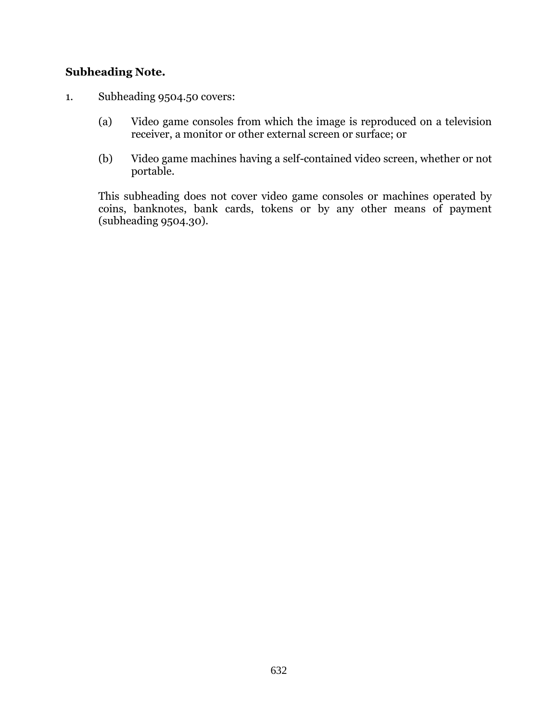## **Subheading Note.**

- 1. Subheading 9504.50 covers:
	- (a) Video game consoles from which the image is reproduced on a television receiver, a monitor or other external screen or surface; or
	- (b) Video game machines having a self-contained video screen, whether or not portable.

This subheading does not cover video game consoles or machines operated by coins, banknotes, bank cards, tokens or by any other means of payment (subheading 9504.30).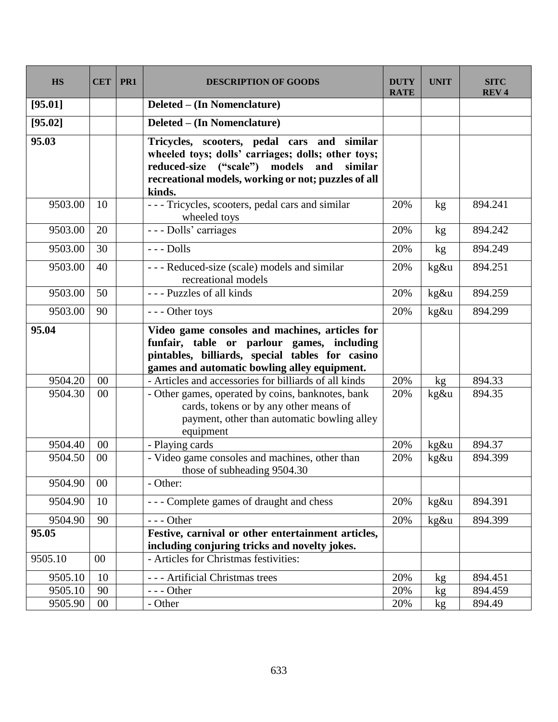| <b>HS</b> | <b>CET</b> | PR1 | <b>DESCRIPTION OF GOODS</b>                                                                                                                                                                                           | <b>DUTY</b><br><b>RATE</b> | <b>UNIT</b>     | <b>SITC</b><br><b>REV4</b> |
|-----------|------------|-----|-----------------------------------------------------------------------------------------------------------------------------------------------------------------------------------------------------------------------|----------------------------|-----------------|----------------------------|
| [95.01]   |            |     | <b>Deleted – (In Nomenclature)</b>                                                                                                                                                                                    |                            |                 |                            |
| [95.02]   |            |     | Deleted – (In Nomenclature)                                                                                                                                                                                           |                            |                 |                            |
| 95.03     |            |     | Tricycles, scooters, pedal cars and similar<br>wheeled toys; dolls' carriages; dolls; other toys;<br>reduced-size ("scale") models<br>and<br>similar<br>recreational models, working or not; puzzles of all<br>kinds. |                            |                 |                            |
| 9503.00   | 10         |     | - - - Tricycles, scooters, pedal cars and similar<br>wheeled toys                                                                                                                                                     | 20%                        | kg              | 894.241                    |
| 9503.00   | 20         |     | - - - Dolls' carriages                                                                                                                                                                                                | 20%                        | kg              | 894.242                    |
| 9503.00   | 30         |     | $--$ Dolls                                                                                                                                                                                                            | 20%                        | kg              | 894.249                    |
| 9503.00   | 40         |     | --- Reduced-size (scale) models and similar<br>recreational models                                                                                                                                                    | 20%                        | kg&u            | 894.251                    |
| 9503.00   | 50         |     | --- Puzzles of all kinds                                                                                                                                                                                              | 20%                        | kg&u            | 894.259                    |
| 9503.00   | 90         |     | --- Other toys                                                                                                                                                                                                        | 20%                        | kg&u            | 894.299                    |
| 95.04     |            |     | Video game consoles and machines, articles for<br>funfair, table or parlour games, including<br>pintables, billiards, special tables for casino<br>games and automatic bowling alley equipment.                       |                            |                 |                            |
| 9504.20   | 00         |     | - Articles and accessories for billiards of all kinds                                                                                                                                                                 | 20%                        | kg              | 894.33                     |
| 9504.30   | 00         |     | - Other games, operated by coins, banknotes, bank<br>cards, tokens or by any other means of<br>payment, other than automatic bowling alley<br>equipment                                                               | 20%                        | kg&u            | 894.35                     |
| 9504.40   | 00         |     | - Playing cards                                                                                                                                                                                                       | 20%                        | kg&u            | 894.37                     |
| 9504.50   | $00\,$     |     | - Video game consoles and machines, other than<br>those of subheading 9504.30                                                                                                                                         | 20%                        | kg&u            | 894.399                    |
| 9504.90   | $00\,$     |     | - Other:                                                                                                                                                                                                              |                            |                 |                            |
| 9504.90   | 10         |     | --- Complete games of draught and chess                                                                                                                                                                               | 20%                        | kg&u            | 894.391                    |
| 9504.90   | 90         |     | $--$ Other                                                                                                                                                                                                            | 20%                        | kg&u            | 894.399                    |
| 95.05     |            |     | Festive, carnival or other entertainment articles,<br>including conjuring tricks and novelty jokes.                                                                                                                   |                            |                 |                            |
| 9505.10   | 00         |     | - Articles for Christmas festivities:                                                                                                                                                                                 |                            |                 |                            |
| 9505.10   | 10         |     | --- Artificial Christmas trees                                                                                                                                                                                        | 20%                        | kg <sub>2</sub> | 894.451                    |
| 9505.10   | 90         |     | $--$ Other                                                                                                                                                                                                            | 20%                        | kg              | 894.459                    |
| 9505.90   | 00         |     | - Other                                                                                                                                                                                                               | 20%                        | kg <sub>1</sub> | 894.49                     |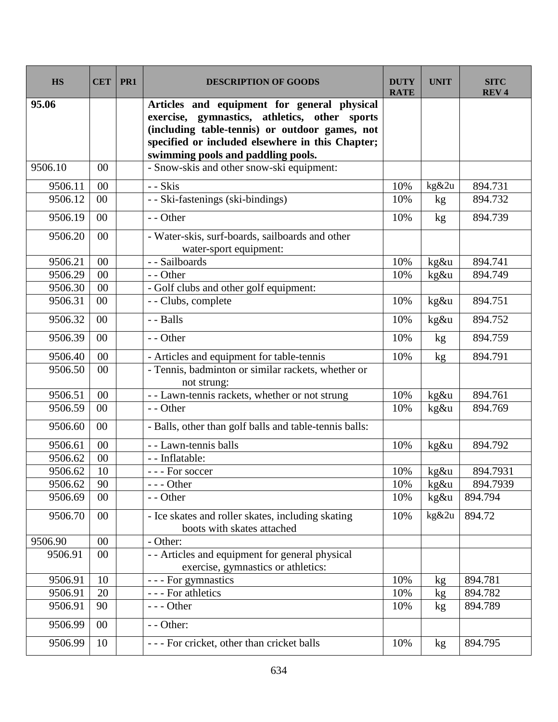| <b>HS</b> | <b>CET</b> | PR1 | <b>DESCRIPTION OF GOODS</b>                                                                                                                                                                                                              | <b>DUTY</b><br><b>RATE</b> | <b>UNIT</b> | <b>SITC</b><br><b>REV4</b> |
|-----------|------------|-----|------------------------------------------------------------------------------------------------------------------------------------------------------------------------------------------------------------------------------------------|----------------------------|-------------|----------------------------|
| 95.06     |            |     | Articles and equipment for general physical<br>exercise, gymnastics, athletics, other sports<br>(including table-tennis) or outdoor games, not<br>specified or included elsewhere in this Chapter;<br>swimming pools and paddling pools. |                            |             |                            |
| 9506.10   | 00         |     | - Snow-skis and other snow-ski equipment:                                                                                                                                                                                                |                            |             |                            |
| 9506.11   | 00         |     | - - Skis                                                                                                                                                                                                                                 | 10%                        | kg&2u       | 894.731                    |
| 9506.12   | 00         |     | - - Ski-fastenings (ski-bindings)                                                                                                                                                                                                        | 10%                        | kg          | 894.732                    |
| 9506.19   | 00         |     | - - Other                                                                                                                                                                                                                                | 10%                        | kg          | 894.739                    |
| 9506.20   | 00         |     | - Water-skis, surf-boards, sailboards and other<br>water-sport equipment:                                                                                                                                                                |                            |             |                            |
| 9506.21   | 00         |     | - - Sailboards                                                                                                                                                                                                                           | 10%                        | kg&u        | 894.741                    |
| 9506.29   | 00         |     | - - Other                                                                                                                                                                                                                                | 10%                        | $kg\&u$     | 894.749                    |
| 9506.30   | 00         |     | - Golf clubs and other golf equipment:                                                                                                                                                                                                   |                            |             |                            |
| 9506.31   | 00         |     | - - Clubs, complete                                                                                                                                                                                                                      | 10%                        | kg&u        | 894.751                    |
| 9506.32   | 00         |     | - - Balls                                                                                                                                                                                                                                | 10%                        | kg&u        | 894.752                    |
| 9506.39   | 00         |     | - - Other                                                                                                                                                                                                                                | 10%                        | kg          | 894.759                    |
| 9506.40   | 00         |     | - Articles and equipment for table-tennis                                                                                                                                                                                                | 10%                        | kg          | 894.791                    |
| 9506.50   | $00\,$     |     | - Tennis, badminton or similar rackets, whether or<br>not strung:                                                                                                                                                                        |                            |             |                            |
| 9506.51   | 00         |     | - - Lawn-tennis rackets, whether or not strung                                                                                                                                                                                           | 10%                        | $kg\&u$     | 894.761                    |
| 9506.59   | 00         |     | - - Other                                                                                                                                                                                                                                | 10%                        | kg&u        | 894.769                    |
| 9506.60   | 00         |     | - Balls, other than golf balls and table-tennis balls:                                                                                                                                                                                   |                            |             |                            |
| 9506.61   | 00         |     | - - Lawn-tennis balls                                                                                                                                                                                                                    | 10%                        | kg&u        | 894.792                    |
| 9506.62   | 00         |     | - - Inflatable:                                                                                                                                                                                                                          |                            |             |                            |
| 9506.62   | 10         |     | --- For soccer                                                                                                                                                                                                                           | 10%                        | $kg\&u$     | 894.7931                   |
| 9506.62   | 90         |     | $--$ Other                                                                                                                                                                                                                               | 10%                        | kg&u        | 894.7939                   |
| 9506.69   | 00         |     | - - Other                                                                                                                                                                                                                                | 10%                        | kg&u        | 894.794                    |
| 9506.70   | 00         |     | - Ice skates and roller skates, including skating<br>boots with skates attached                                                                                                                                                          | 10%                        | kg&2u       | 894.72                     |
| 9506.90   | 00         |     | - Other:                                                                                                                                                                                                                                 |                            |             |                            |
| 9506.91   | $00\,$     |     | - - Articles and equipment for general physical<br>exercise, gymnastics or athletics:                                                                                                                                                    |                            |             |                            |
| 9506.91   | 10         |     | --- For gymnastics                                                                                                                                                                                                                       | 10%                        | kg          | 894.781                    |
| 9506.91   | 20         |     | - - - For athletics                                                                                                                                                                                                                      | 10%                        | kg          | 894.782                    |
| 9506.91   | 90         |     | $--$ Other                                                                                                                                                                                                                               | 10%                        | kg          | 894.789                    |
| 9506.99   | 00         |     | - - Other:                                                                                                                                                                                                                               |                            |             |                            |
| 9506.99   | 10         |     | --- For cricket, other than cricket balls                                                                                                                                                                                                | 10%                        | kg          | 894.795                    |